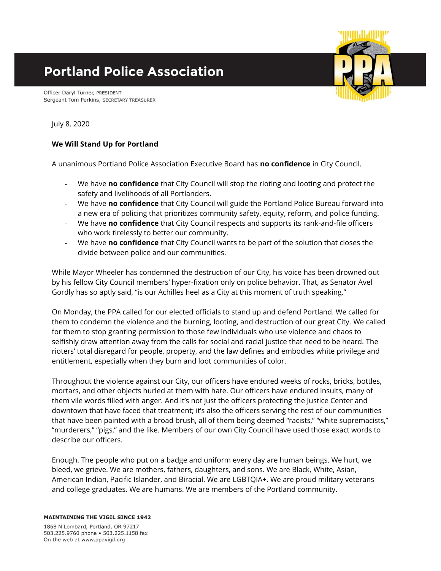# **Portland Police Association**

Officer Daryl Turner, PRESIDENT Sergeant Tom Perkins, SECRETARY TREASURER

July 8, 2020

### **We Will Stand Up for Portland**

A unanimous Portland Police Association Executive Board has **no confidence** in City Council.

- We have **no confidence** that City Council will stop the rioting and looting and protect the safety and livelihoods of all Portlanders.
- We have **no confidence** that City Council will guide the Portland Police Bureau forward into a new era of policing that prioritizes community safety, equity, reform, and police funding.
- We have **no confidence** that City Council respects and supports its rank-and-file officers who work tirelessly to better our community.
- We have **no confidence** that City Council wants to be part of the solution that closes the divide between police and our communities.

While Mayor Wheeler has condemned the destruction of our City, his voice has been drowned out by his fellow City Council members' hyper-fixation only on police behavior. That, as Senator Avel Gordly has so aptly said, "is our Achilles heel as a City at this moment of truth speaking."

On Monday, the PPA called for our elected officials to stand up and defend Portland. We called for them to condemn the violence and the burning, looting, and destruction of our great City. We called for them to stop granting permission to those few individuals who use violence and chaos to selfishly draw attention away from the calls for social and racial justice that need to be heard. The rioters' total disregard for people, property, and the law defines and embodies white privilege and entitlement, especially when they burn and loot communities of color.

Throughout the violence against our City, our officers have endured weeks of rocks, bricks, bottles, mortars, and other objects hurled at them with hate. Our officers have endured insults, many of them vile words filled with anger. And it's not just the officers protecting the Justice Center and downtown that have faced that treatment; it's also the officers serving the rest of our communities that have been painted with a broad brush, all of them being deemed "racists," "white supremacists," "murderers," "pigs," and the like. Members of our own City Council have used those exact words to describe our officers.

Enough. The people who put on a badge and uniform every day are human beings. We hurt, we bleed, we grieve. We are mothers, fathers, daughters, and sons. We are Black, White, Asian, American Indian, Pacific Islander, and Biracial. We are LGBTQIA+. We are proud military veterans and college graduates. We are humans. We are members of the Portland community.

**MAINTAINING THE VIGIL SINCE 1942** 

1868 N Lombard, Portland, OR 97217 503.225.9760 phone . 503.225.1158 fax On the web at www.ppavigil.org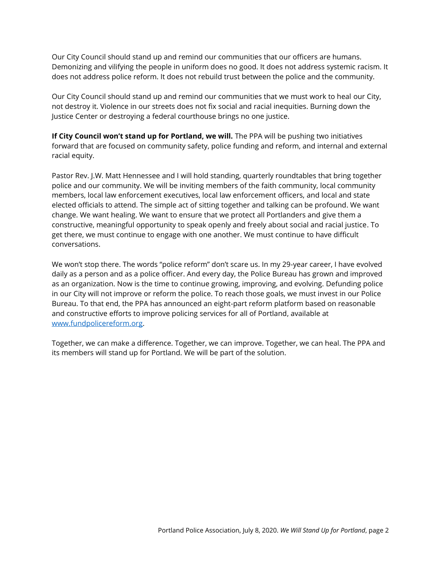Our City Council should stand up and remind our communities that our officers are humans. Demonizing and vilifying the people in uniform does no good. It does not address systemic racism. It does not address police reform. It does not rebuild trust between the police and the community.

Our City Council should stand up and remind our communities that we must work to heal our City, not destroy it. Violence in our streets does not fix social and racial inequities. Burning down the Justice Center or destroying a federal courthouse brings no one justice.

**If City Council won't stand up for Portland, we will.** The PPA will be pushing two initiatives forward that are focused on community safety, police funding and reform, and internal and external racial equity.

Pastor Rev. J.W. Matt Hennessee and I will hold standing, quarterly roundtables that bring together police and our community. We will be inviting members of the faith community, local community members, local law enforcement executives, local law enforcement officers, and local and state elected officials to attend. The simple act of sitting together and talking can be profound. We want change. We want healing. We want to ensure that we protect all Portlanders and give them a constructive, meaningful opportunity to speak openly and freely about social and racial justice. To get there, we must continue to engage with one another. We must continue to have difficult conversations.

We won't stop there. The words "police reform" don't scare us. In my 29-year career, I have evolved daily as a person and as a police officer. And every day, the Police Bureau has grown and improved as an organization. Now is the time to continue growing, improving, and evolving. Defunding police in our City will not improve or reform the police. To reach those goals, we must invest in our Police Bureau. To that end, the PPA has announced an eight-part reform platform based on reasonable and constructive efforts to improve policing services for all of Portland, available at [www.fundpolicereform.org.](http://www.fundpolicereform.org/)

Together, we can make a difference. Together, we can improve. Together, we can heal. The PPA and its members will stand up for Portland. We will be part of the solution.